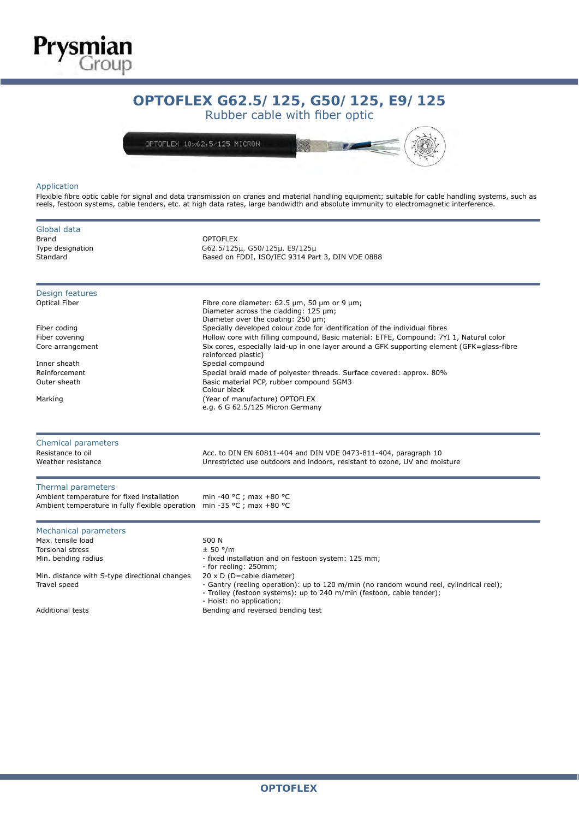

# OPTOFLEX G62,5/125: rubber cables with fiber optic **OPTOFLEX G62.5/125, G50/125, E9/125**

Rubber cable with fiber optic



## Application

Flexible fibre optic cable for signal and data transmission on cranes and material handling equipment; suitable for cable handling systems, such as reels, festoon systems, cable tenders, etc. at high data rates, large bandwidth and absolute immunity to electromagnetic interference.

| Global data<br><b>Brand</b><br>Type designation<br>Standard                                                         | <b>OPTOFLEX</b><br>G62.5/125µ, G50/125µ, E9/125µ<br>Based on FDDI, ISO/IEC 9314 Part 3, DIN VDE 0888                                                                                                                                                                                         |  |  |  |  |  |  |
|---------------------------------------------------------------------------------------------------------------------|----------------------------------------------------------------------------------------------------------------------------------------------------------------------------------------------------------------------------------------------------------------------------------------------|--|--|--|--|--|--|
| Design features<br>Optical Fiber                                                                                    | Fibre core diameter: 62.5 µm, 50 µm or 9 µm;<br>Diameter across the cladding: 125 µm;<br>Diameter over the coating: 250 µm;                                                                                                                                                                  |  |  |  |  |  |  |
| Fiber coding<br>Fiber covering<br>Core arrangement                                                                  | Specially developed colour code for identification of the individual fibres<br>Hollow core with filling compound, Basic material: ETFE, Compound: 7YI 1, Natural color<br>Six cores, especially laid-up in one layer around a GFK supporting element (GFK=glass-fibre<br>reinforced plastic) |  |  |  |  |  |  |
| Inner sheath<br>Reinforcement<br>Outer sheath                                                                       | Special compound<br>Special braid made of polyester threads. Surface covered: approx. 80%<br>Basic material PCP, rubber compound 5GM3<br>Colour black                                                                                                                                        |  |  |  |  |  |  |
| Marking                                                                                                             | (Year of manufacture) OPTOFLEX<br>e.g. 6 G 62.5/125 Micron Germany                                                                                                                                                                                                                           |  |  |  |  |  |  |
| Chemical parameters                                                                                                 |                                                                                                                                                                                                                                                                                              |  |  |  |  |  |  |
| Resistance to oil<br>Weather resistance                                                                             | Acc. to DIN EN 60811-404 and DIN VDE 0473-811-404, paragraph 10<br>Unrestricted use outdoors and indoors, resistant to ozone, UV and moisture                                                                                                                                                |  |  |  |  |  |  |
| Thermal parameters<br>Ambient temperature for fixed installation<br>Ambient temperature in fully flexible operation | min -40 °C ; max +80 °C<br>min -35 °C ; max +80 °C                                                                                                                                                                                                                                           |  |  |  |  |  |  |
| Mechanical parameters<br>Max. tensile load<br><b>Torsional stress</b><br>Min. bending radius                        | 500 N<br>± 50 °/m<br>- fixed installation and on festoon system: 125 mm;<br>- for reeling: 250mm;                                                                                                                                                                                            |  |  |  |  |  |  |
| Min. distance with S-type directional changes<br>Travel speed                                                       | 20 x D (D=cable diameter)<br>- Gantry (reeling operation): up to 120 m/min (no random wound reel, cylindrical reel);<br>- Trolley (festoon systems): up to 240 m/min (festoon, cable tender);<br>- Hoist: no application;                                                                    |  |  |  |  |  |  |
| <b>Additional tests</b>                                                                                             | Bending and reversed bending test                                                                                                                                                                                                                                                            |  |  |  |  |  |  |